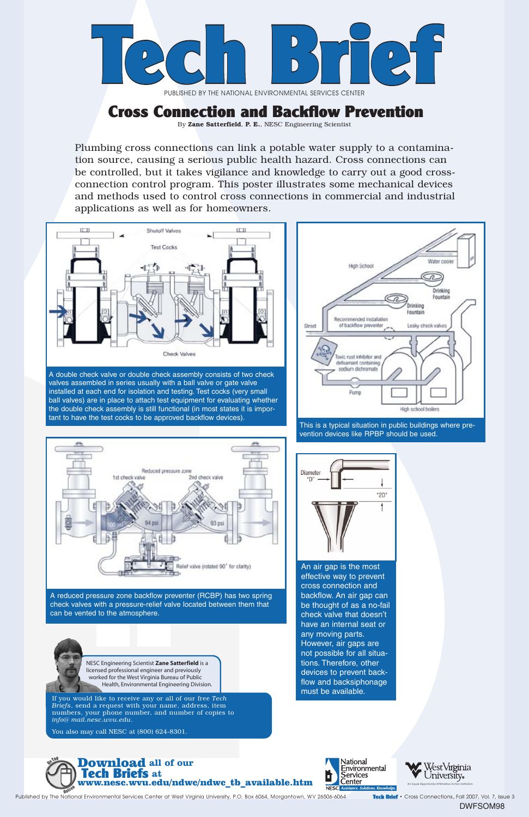An Equal Opportunity/Affirmative Action Institution

NESC Engineering Scientist **Zane Satterfield** is a licensed professional engineer and previously worked for the West Virginia Bureau of Public Health, Environmental Engineering Division.

If you would like to receive any or all of our free *Tech Briefs*, send a request with your name, address, item numbers, your phone number, and number of copies to *info@ mail.nesc.wvu.edu*.

You also may call NESC at (800) 624-8301.







## Cross Connection and Backflow Prevention

An air gap is the most effective way to prevent cross connection and backflow. An air gap can

be thought of as a no-fail check valve that doesn't have an internal seat or any moving parts. However, air gaps are not possible for all situations. Therefore, other devices to prevent backflow and backsiphonage must be available.



A double check valve or double check assembly consists of two check valves assembled in series usually with a ball valve or gate valve installed at each end for isolation and testing. Test cocks (very small ball valves) are in place to attach test equipment for evaluating whether the double check assembly is still functional (in most states it is important to have the test cocks to be approved backflow devices).



A reduced pressure zone backflow preventer (RCBP) has two spring



check valves with a pressure-relief valve located between them that can be vented to the atmosphere.

Plumbing cross connections can link a potable water supply to a contamination source, causing a serious public health hazard. Cross connections can be controlled, but it takes vigilance and knowledge to carry out a good crossconnection control program. This poster illustrates some mechanical devices and methods used to control cross connections in commercial and industrial applications as well as for homeowners.



This is a typical situation in public buildings where prevention devices like RPBP should be used.





PUBLISHED BY THE NATIONAL ENVIRONMENTAL SERVICES CENTER

By Zane Satterfield, P. E., NESC Engineering Scientist

Published by The National Environmental Services Center at West Virginia University, P.O. Box 6064, Morgantown, WV 26506-6064